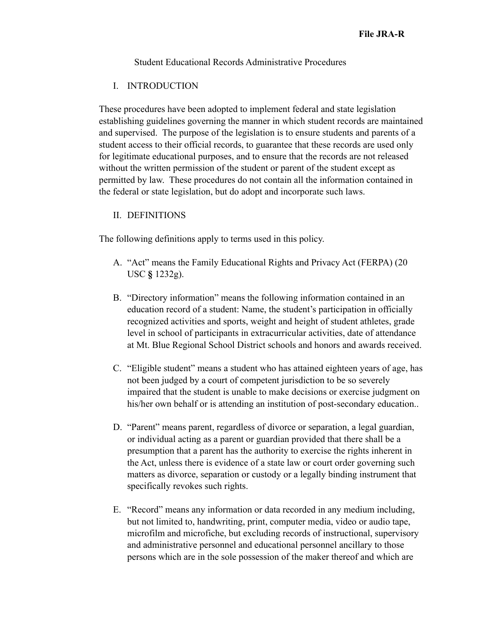Student Educational Records Administrative Procedures

## I. INTRODUCTION

These procedures have been adopted to implement federal and state legislation establishing guidelines governing the manner in which student records are maintained and supervised. The purpose of the legislation is to ensure students and parents of a student access to their official records, to guarantee that these records are used only for legitimate educational purposes, and to ensure that the records are not released without the written permission of the student or parent of the student except as permitted by law. These procedures do not contain all the information contained in the federal or state legislation, but do adopt and incorporate such laws.

# II. DEFINITIONS

The following definitions apply to terms used in this policy.

- A. "Act" means the Family Educational Rights and Privacy Act (FERPA) (20 USC **§** 1232g).
- B. "Directory information" means the following information contained in an education record of a student: Name, the student's participation in officially recognized activities and sports, weight and height of student athletes, grade level in school of participants in extracurricular activities, date of attendance at Mt. Blue Regional School District schools and honors and awards received.
- C. "Eligible student" means a student who has attained eighteen years of age, has not been judged by a court of competent jurisdiction to be so severely impaired that the student is unable to make decisions or exercise judgment on his/her own behalf or is attending an institution of post-secondary education...
- D. "Parent" means parent, regardless of divorce or separation, a legal guardian, or individual acting as a parent or guardian provided that there shall be a presumption that a parent has the authority to exercise the rights inherent in the Act, unless there is evidence of a state law or court order governing such matters as divorce, separation or custody or a legally binding instrument that specifically revokes such rights.
- E. "Record" means any information or data recorded in any medium including, but not limited to, handwriting, print, computer media, video or audio tape, microfilm and microfiche, but excluding records of instructional, supervisory and administrative personnel and educational personnel ancillary to those persons which are in the sole possession of the maker thereof and which are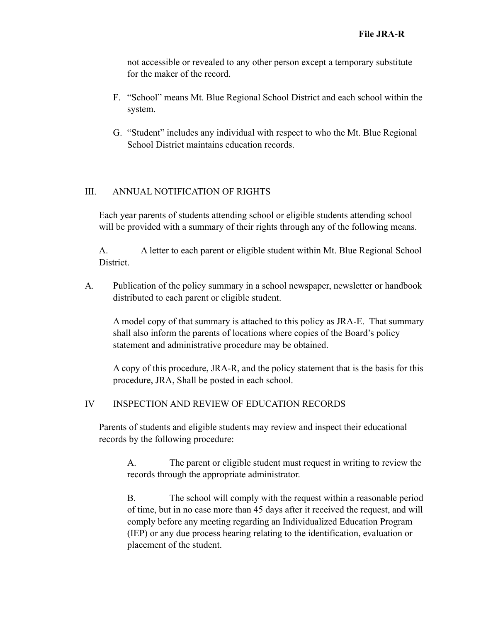not accessible or revealed to any other person except a temporary substitute for the maker of the record.

- F. "School" means Mt. Blue Regional School District and each school within the system.
- G. "Student" includes any individual with respect to who the Mt. Blue Regional School District maintains education records.

# III. ANNUAL NOTIFICATION OF RIGHTS

Each year parents of students attending school or eligible students attending school will be provided with a summary of their rights through any of the following means.

A. A letter to each parent or eligible student within Mt. Blue Regional School District.

A. Publication of the policy summary in a school newspaper, newsletter or handbook distributed to each parent or eligible student.

A model copy of that summary is attached to this policy as JRA-E. That summary shall also inform the parents of locations where copies of the Board's policy statement and administrative procedure may be obtained.

A copy of this procedure, JRA-R, and the policy statement that is the basis for this procedure, JRA, Shall be posted in each school.

## IV INSPECTION AND REVIEW OF EDUCATION RECORDS

Parents of students and eligible students may review and inspect their educational records by the following procedure:

A. The parent or eligible student must request in writing to review the records through the appropriate administrator.

B. The school will comply with the request within a reasonable period of time, but in no case more than 45 days after it received the request, and will comply before any meeting regarding an Individualized Education Program (IEP) or any due process hearing relating to the identification, evaluation or placement of the student.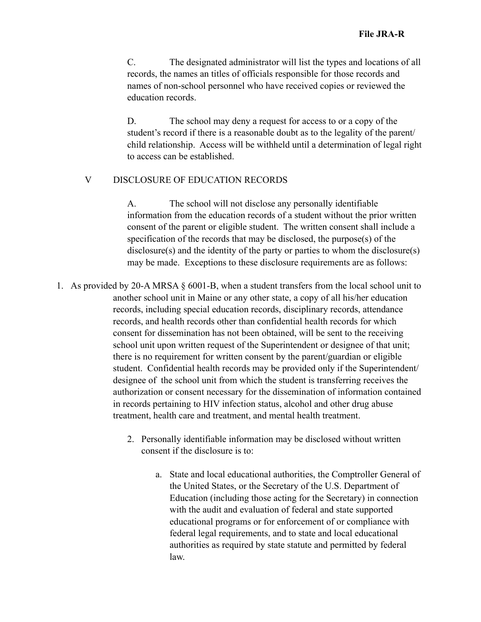C. The designated administrator will list the types and locations of all records, the names an titles of officials responsible for those records and names of non-school personnel who have received copies or reviewed the education records.

D. The school may deny a request for access to or a copy of the student's record if there is a reasonable doubt as to the legality of the parent/ child relationship. Access will be withheld until a determination of legal right to access can be established.

#### V DISCLOSURE OF EDUCATION RECORDS

A. The school will not disclose any personally identifiable information from the education records of a student without the prior written consent of the parent or eligible student. The written consent shall include a specification of the records that may be disclosed, the purpose(s) of the disclosure(s) and the identity of the party or parties to whom the disclosure(s) may be made. Exceptions to these disclosure requirements are as follows:

- 1. As provided by 20-A MRSA § 6001-B, when a student transfers from the local school unit to another school unit in Maine or any other state, a copy of all his/her education records, including special education records, disciplinary records, attendance records, and health records other than confidential health records for which consent for dissemination has not been obtained, will be sent to the receiving school unit upon written request of the Superintendent or designee of that unit; there is no requirement for written consent by the parent/guardian or eligible student. Confidential health records may be provided only if the Superintendent/ designee of the school unit from which the student is transferring receives the authorization or consent necessary for the dissemination of information contained in records pertaining to HIV infection status, alcohol and other drug abuse treatment, health care and treatment, and mental health treatment.
	- 2. Personally identifiable information may be disclosed without written consent if the disclosure is to:
		- a. State and local educational authorities, the Comptroller General of the United States, or the Secretary of the U.S. Department of Education (including those acting for the Secretary) in connection with the audit and evaluation of federal and state supported educational programs or for enforcement of or compliance with federal legal requirements, and to state and local educational authorities as required by state statute and permitted by federal law.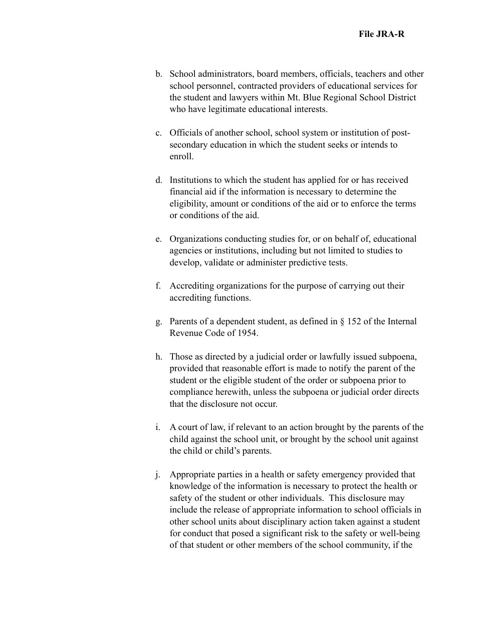- b. School administrators, board members, officials, teachers and other school personnel, contracted providers of educational services for the student and lawyers within Mt. Blue Regional School District who have legitimate educational interests.
- c. Officials of another school, school system or institution of postsecondary education in which the student seeks or intends to enroll.
- d. Institutions to which the student has applied for or has received financial aid if the information is necessary to determine the eligibility, amount or conditions of the aid or to enforce the terms or conditions of the aid.
- e. Organizations conducting studies for, or on behalf of, educational agencies or institutions, including but not limited to studies to develop, validate or administer predictive tests.
- f. Accrediting organizations for the purpose of carrying out their accrediting functions.
- g. Parents of a dependent student, as defined in § 152 of the Internal Revenue Code of 1954.
- h. Those as directed by a judicial order or lawfully issued subpoena, provided that reasonable effort is made to notify the parent of the student or the eligible student of the order or subpoena prior to compliance herewith, unless the subpoena or judicial order directs that the disclosure not occur.
- i. A court of law, if relevant to an action brought by the parents of the child against the school unit, or brought by the school unit against the child or child's parents.
- j. Appropriate parties in a health or safety emergency provided that knowledge of the information is necessary to protect the health or safety of the student or other individuals. This disclosure may include the release of appropriate information to school officials in other school units about disciplinary action taken against a student for conduct that posed a significant risk to the safety or well-being of that student or other members of the school community, if the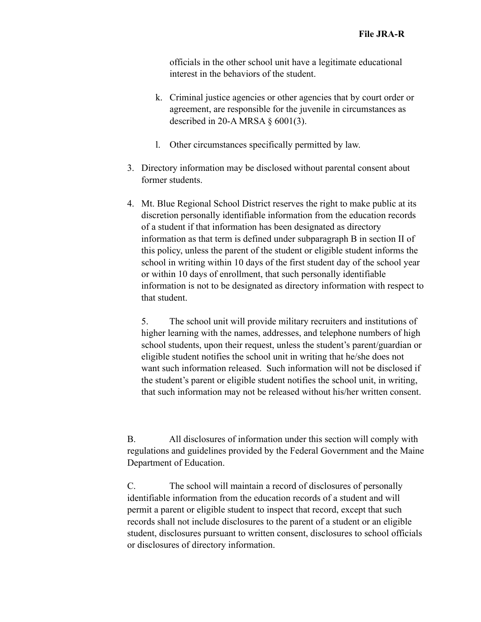officials in the other school unit have a legitimate educational interest in the behaviors of the student.

- k. Criminal justice agencies or other agencies that by court order or agreement, are responsible for the juvenile in circumstances as described in 20-A MRSA  $\S$  6001(3).
- l. Other circumstances specifically permitted by law.
- 3. Directory information may be disclosed without parental consent about former students.
- 4. Mt. Blue Regional School District reserves the right to make public at its discretion personally identifiable information from the education records of a student if that information has been designated as directory information as that term is defined under subparagraph B in section II of this policy, unless the parent of the student or eligible student informs the school in writing within 10 days of the first student day of the school year or within 10 days of enrollment, that such personally identifiable information is not to be designated as directory information with respect to that student.

5. The school unit will provide military recruiters and institutions of higher learning with the names, addresses, and telephone numbers of high school students, upon their request, unless the student's parent/guardian or eligible student notifies the school unit in writing that he/she does not want such information released. Such information will not be disclosed if the student's parent or eligible student notifies the school unit, in writing, that such information may not be released without his/her written consent.

B. All disclosures of information under this section will comply with regulations and guidelines provided by the Federal Government and the Maine Department of Education.

C. The school will maintain a record of disclosures of personally identifiable information from the education records of a student and will permit a parent or eligible student to inspect that record, except that such records shall not include disclosures to the parent of a student or an eligible student, disclosures pursuant to written consent, disclosures to school officials or disclosures of directory information.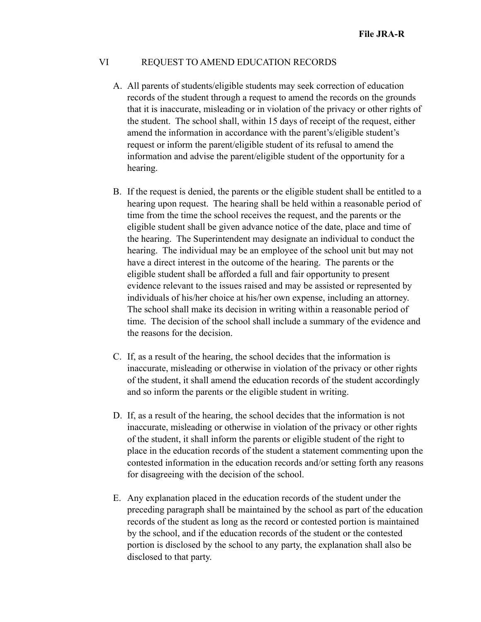#### VI REQUEST TO AMEND EDUCATION RECORDS

- A. All parents of students/eligible students may seek correction of education records of the student through a request to amend the records on the grounds that it is inaccurate, misleading or in violation of the privacy or other rights of the student. The school shall, within 15 days of receipt of the request, either amend the information in accordance with the parent's/eligible student's request or inform the parent/eligible student of its refusal to amend the information and advise the parent/eligible student of the opportunity for a hearing.
- B. If the request is denied, the parents or the eligible student shall be entitled to a hearing upon request. The hearing shall be held within a reasonable period of time from the time the school receives the request, and the parents or the eligible student shall be given advance notice of the date, place and time of the hearing. The Superintendent may designate an individual to conduct the hearing. The individual may be an employee of the school unit but may not have a direct interest in the outcome of the hearing. The parents or the eligible student shall be afforded a full and fair opportunity to present evidence relevant to the issues raised and may be assisted or represented by individuals of his/her choice at his/her own expense, including an attorney. The school shall make its decision in writing within a reasonable period of time. The decision of the school shall include a summary of the evidence and the reasons for the decision.
- C. If, as a result of the hearing, the school decides that the information is inaccurate, misleading or otherwise in violation of the privacy or other rights of the student, it shall amend the education records of the student accordingly and so inform the parents or the eligible student in writing.
- D. If, as a result of the hearing, the school decides that the information is not inaccurate, misleading or otherwise in violation of the privacy or other rights of the student, it shall inform the parents or eligible student of the right to place in the education records of the student a statement commenting upon the contested information in the education records and/or setting forth any reasons for disagreeing with the decision of the school.
- E. Any explanation placed in the education records of the student under the preceding paragraph shall be maintained by the school as part of the education records of the student as long as the record or contested portion is maintained by the school, and if the education records of the student or the contested portion is disclosed by the school to any party, the explanation shall also be disclosed to that party.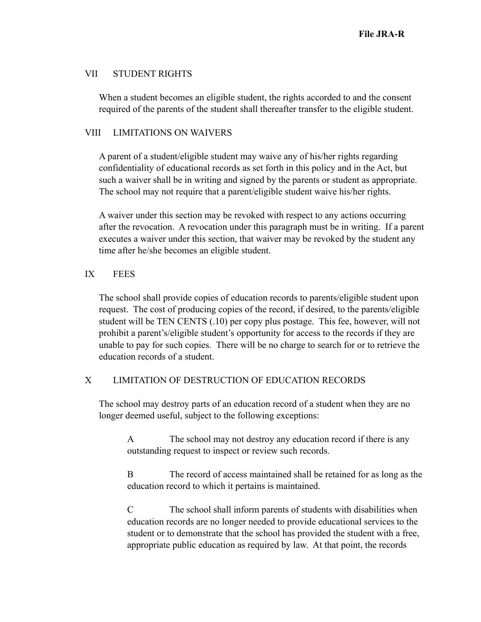## VII STUDENT RIGHTS

When a student becomes an eligible student, the rights accorded to and the consent required of the parents of the student shall thereafter transfer to the eligible student.

#### VIII LIMITATIONS ON WAIVERS

A parent of a student/eligible student may waive any of his/her rights regarding confidentiality of educational records as set forth in this policy and in the Act, but such a waiver shall be in writing and signed by the parents or student as appropriate. The school may not require that a parent/eligible student waive his/her rights.

A waiver under this section may be revoked with respect to any actions occurring after the revocation. A revocation under this paragraph must be in writing. If a parent executes a waiver under this section, that waiver may be revoked by the student any time after he/she becomes an eligible student.

## IX FEES

The school shall provide copies of education records to parents/eligible student upon request. The cost of producing copies of the record, if desired, to the parents/eligible student will be TEN CENTS (.10) per copy plus postage. This fee, however, will not prohibit a parent's/eligible student's opportunity for access to the records if they are unable to pay for such copies. There will be no charge to search for or to retrieve the education records of a student.

## X LIMITATION OF DESTRUCTION OF EDUCATION RECORDS

The school may destroy parts of an education record of a student when they are no longer deemed useful, subject to the following exceptions:

A The school may not destroy any education record if there is any outstanding request to inspect or review such records.

B The record of access maintained shall be retained for as long as the education record to which it pertains is maintained.

C The school shall inform parents of students with disabilities when education records are no longer needed to provide educational services to the student or to demonstrate that the school has provided the student with a free, appropriate public education as required by law. At that point, the records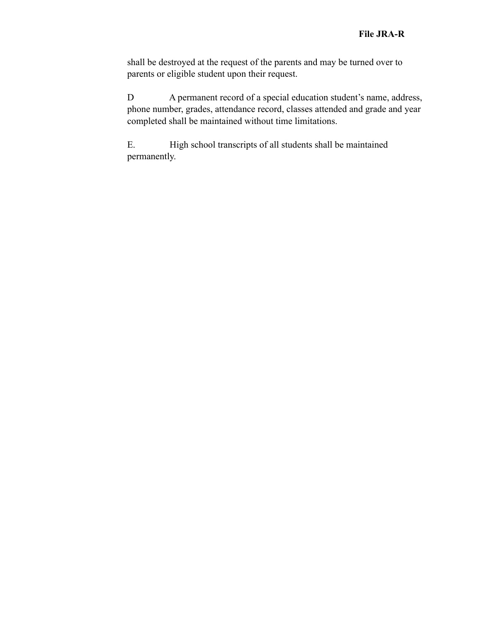shall be destroyed at the request of the parents and may be turned over to parents or eligible student upon their request.

D A permanent record of a special education student's name, address, phone number, grades, attendance record, classes attended and grade and year completed shall be maintained without time limitations.

E. High school transcripts of all students shall be maintained permanently.